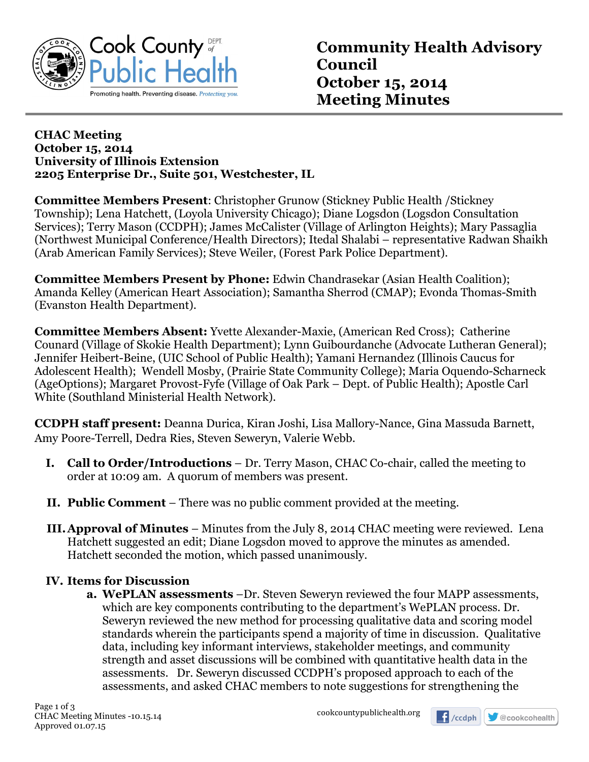

## **CHAC Meeting October 15, 2014 University of Illinois Extension 2205 Enterprise Dr., Suite 501, Westchester, IL**

**Committee Members Present**: Christopher Grunow (Stickney Public Health /Stickney Township); Lena Hatchett, (Loyola University Chicago); Diane Logsdon (Logsdon Consultation Services); Terry Mason (CCDPH); James McCalister (Village of Arlington Heights); Mary Passaglia (Northwest Municipal Conference/Health Directors); Itedal Shalabi – representative Radwan Shaikh (Arab American Family Services); Steve Weiler, (Forest Park Police Department).

**Committee Members Present by Phone:** Edwin Chandrasekar (Asian Health Coalition); Amanda Kelley (American Heart Association); Samantha Sherrod (CMAP); Evonda Thomas-Smith (Evanston Health Department).

**Committee Members Absent:** Yvette Alexander-Maxie, (American Red Cross); Catherine Counard (Village of Skokie Health Department); Lynn Guibourdanche (Advocate Lutheran General); Jennifer Heibert-Beine, (UIC School of Public Health); Yamani Hernandez (Illinois Caucus for Adolescent Health); Wendell Mosby, (Prairie State Community College); Maria Oquendo-Scharneck (AgeOptions); Margaret Provost-Fyfe (Village of Oak Park – Dept. of Public Health); Apostle Carl White (Southland Ministerial Health Network).

**CCDPH staff present:** Deanna Durica, Kiran Joshi, Lisa Mallory-Nance, Gina Massuda Barnett, Amy Poore-Terrell, Dedra Ries, Steven Seweryn, Valerie Webb.

- **I. Call to Order/Introductions** Dr. Terry Mason, CHAC Co-chair, called the meeting to order at 10:09 am. A quorum of members was present.
- **II. Public Comment** There was no public comment provided at the meeting.
- **III.Approval of Minutes** Minutes from the July 8, 2014 CHAC meeting were reviewed. Lena Hatchett suggested an edit; Diane Logsdon moved to approve the minutes as amended. Hatchett seconded the motion, which passed unanimously.

## **IV. Items for Discussion**

**a. WePLAN assessments** –Dr. Steven Seweryn reviewed the four MAPP assessments, which are key components contributing to the department's WePLAN process. Dr. Seweryn reviewed the new method for processing qualitative data and scoring model standards wherein the participants spend a majority of time in discussion. Qualitative data, including key informant interviews, stakeholder meetings, and community strength and asset discussions will be combined with quantitative health data in the assessments. Dr. Seweryn discussed CCDPH's proposed approach to each of the assessments, and asked CHAC members to note suggestions for strengthening the

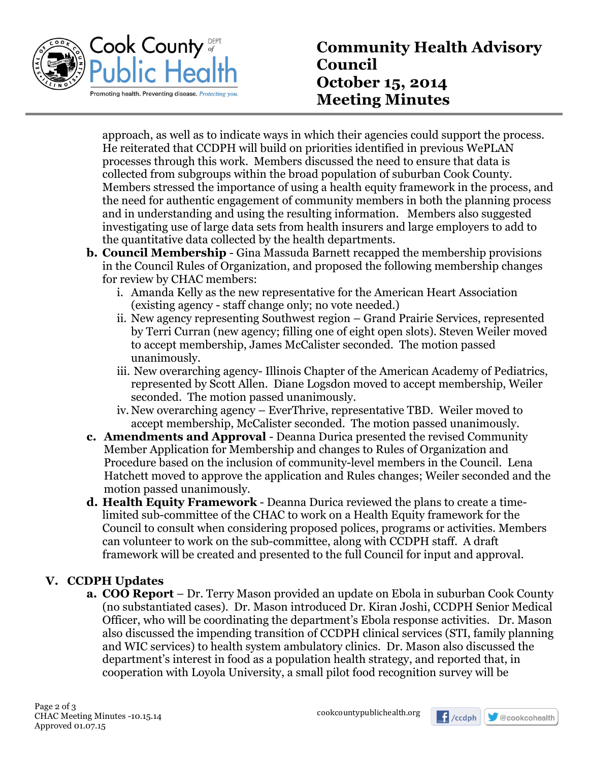

approach, as well as to indicate ways in which their agencies could support the process. He reiterated that CCDPH will build on priorities identified in previous WePLAN processes through this work. Members discussed the need to ensure that data is collected from subgroups within the broad population of suburban Cook County. Members stressed the importance of using a health equity framework in the process, and the need for authentic engagement of community members in both the planning process and in understanding and using the resulting information. Members also suggested investigating use of large data sets from health insurers and large employers to add to the quantitative data collected by the health departments.

- **b. Council Membership** Gina Massuda Barnett recapped the membership provisions in the Council Rules of Organization, and proposed the following membership changes for review by CHAC members:
	- i. Amanda Kelly as the new representative for the American Heart Association (existing agency - staff change only; no vote needed.)
	- ii. New agency representing Southwest region Grand Prairie Services, represented by Terri Curran (new agency; filling one of eight open slots). Steven Weiler moved to accept membership, James McCalister seconded. The motion passed unanimously.
	- iii. New overarching agency- Illinois Chapter of the American Academy of Pediatrics, represented by Scott Allen. Diane Logsdon moved to accept membership, Weiler seconded. The motion passed unanimously.
	- iv. New overarching agency EverThrive, representative TBD. Weiler moved to accept membership, McCalister seconded. The motion passed unanimously.
- **c. Amendments and Approval** Deanna Durica presented the revised Community Member Application for Membership and changes to Rules of Organization and Procedure based on the inclusion of community-level members in the Council. Lena Hatchett moved to approve the application and Rules changes; Weiler seconded and the motion passed unanimously.
- **d. Health Equity Framework** Deanna Durica reviewed the plans to create a timelimited sub-committee of the CHAC to work on a Health Equity framework for the Council to consult when considering proposed polices, programs or activities. Members can volunteer to work on the sub-committee, along with CCDPH staff. A draft framework will be created and presented to the full Council for input and approval.

## **V. CCDPH Updates**

**a. COO Report** – Dr. Terry Mason provided an update on Ebola in suburban Cook County (no substantiated cases). Dr. Mason introduced Dr. Kiran Joshi, CCDPH Senior Medical Officer, who will be coordinating the department's Ebola response activities. Dr. Mason also discussed the impending transition of CCDPH clinical services (STI, family planning and WIC services) to health system ambulatory clinics. Dr. Mason also discussed the department's interest in food as a population health strategy, and reported that, in cooperation with Loyola University, a small pilot food recognition survey will be